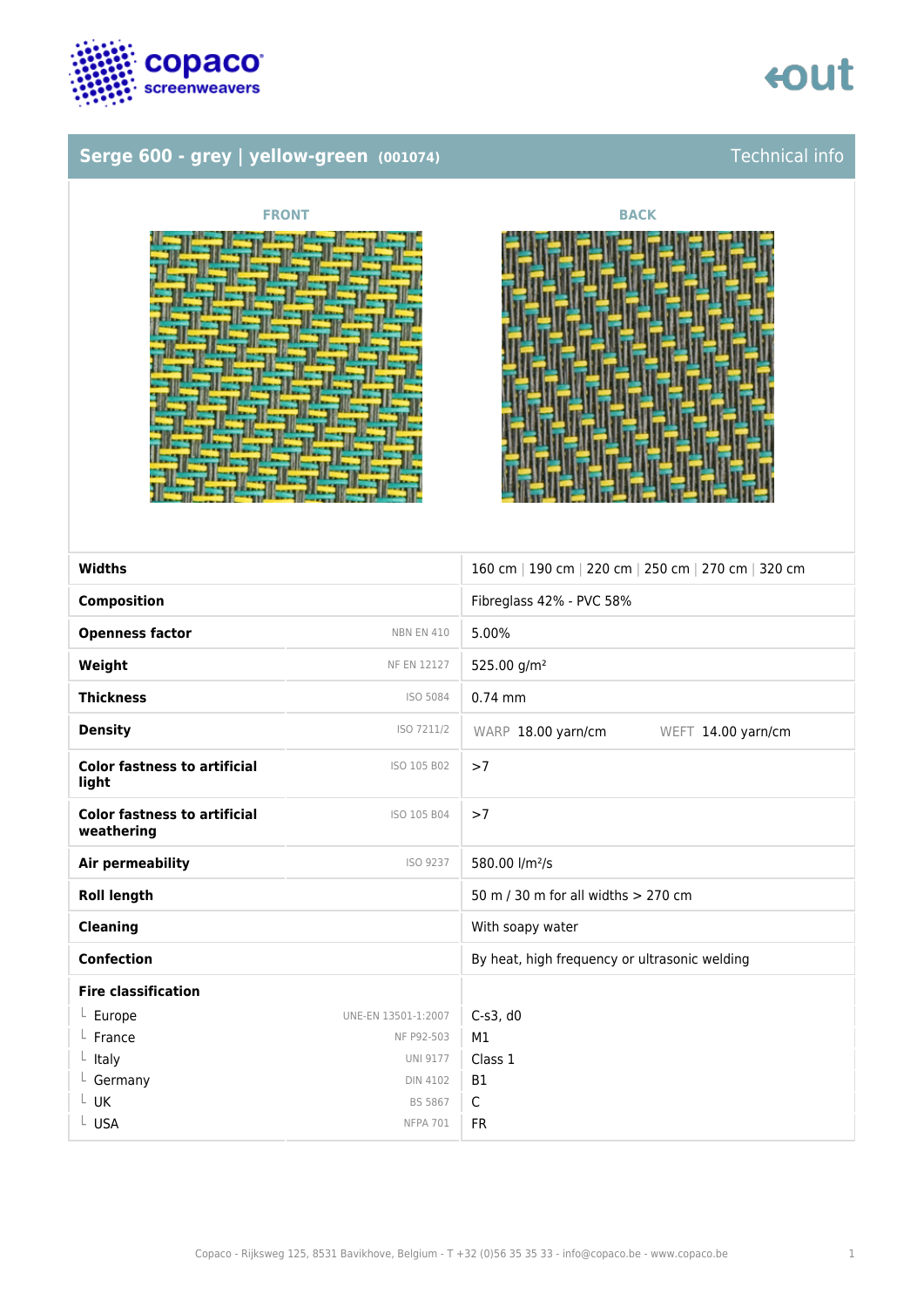

### **Serge 600 - grey | yellow-green** (001074) Technical info



| <b>Widths</b>                                     |                     | 160 cm   190 cm   220 cm   250 cm   270 cm   320 cm |
|---------------------------------------------------|---------------------|-----------------------------------------------------|
| <b>Composition</b>                                |                     | Fibreglass 42% - PVC 58%                            |
| <b>Openness factor</b>                            | <b>NBN EN 410</b>   | 5.00%                                               |
| Weight                                            | NF EN 12127         | 525.00 g/m <sup>2</sup>                             |
| <b>Thickness</b>                                  | ISO 5084            | $0.74$ mm                                           |
| <b>Density</b>                                    | ISO 7211/2          | WARP 18.00 yarn/cm<br>WEFT 14.00 yarn/cm            |
| <b>Color fastness to artificial</b><br>light      | ISO 105 B02         | >7                                                  |
| <b>Color fastness to artificial</b><br>weathering | ISO 105 B04         | >7                                                  |
| Air permeability                                  | ISO 9237            | 580.00 l/m <sup>2</sup> /s                          |
| <b>Roll length</b>                                |                     | 50 m / 30 m for all widths > 270 cm                 |
| <b>Cleaning</b>                                   |                     | With soapy water                                    |
| <b>Confection</b>                                 |                     | By heat, high frequency or ultrasonic welding       |
| <b>Fire classification</b>                        |                     |                                                     |
| $L$ Europe                                        | UNE-EN 13501-1:2007 | $C-S3$ , d $O$                                      |
| $L$ France                                        | NF P92-503          | M1                                                  |
| $L$ Italy                                         | <b>UNI 9177</b>     | Class 1                                             |
| $L$ Germany                                       | <b>DIN 4102</b>     | <b>B1</b>                                           |
| L UK                                              | <b>BS 5867</b>      | $\mathsf{C}$                                        |
| L USA                                             | <b>NFPA 701</b>     | <b>FR</b>                                           |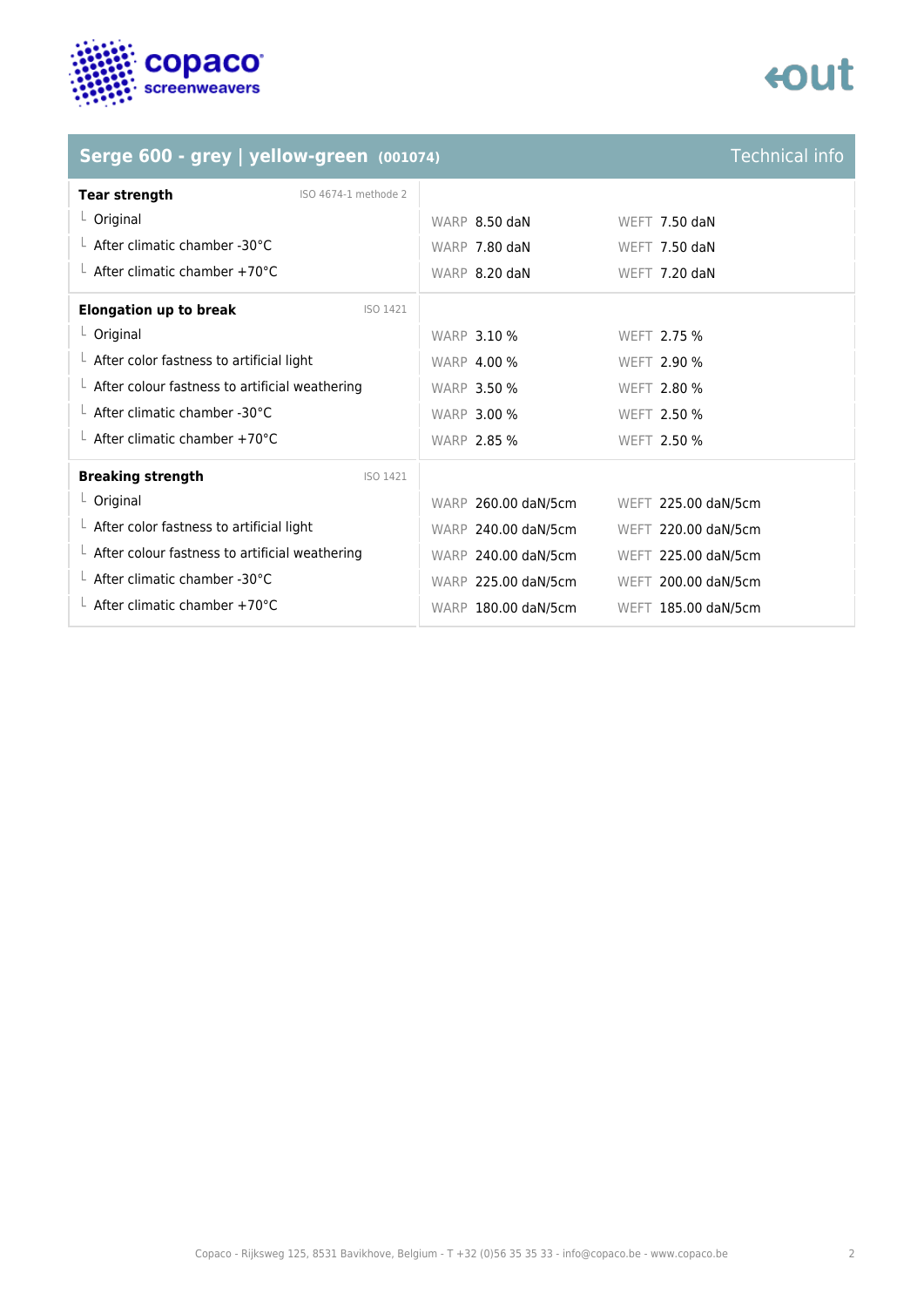

### **Serge 600 - grey | yellow-green** (001074) **Technical info**

| <b>Tear strength</b>                       | ISO 4674-1 methode 2 |               |                 |  |
|--------------------------------------------|----------------------|---------------|-----------------|--|
| $L$ Original                               |                      | WARP 8.50 daN | WEFT $7.50$ daN |  |
| $\perp$ After climatic chamber -30°C       |                      | WARP 7.80 daN | WEFT $7.50$ daN |  |
| └ After climatic chamber +70 $^{\circ}$ C  |                      | WARP 8.20 daN | WEFT $7.20$ daN |  |
| <b>Elongation up to break</b><br>$-1$ $-1$ | ISO 1421             |               |                 |  |

| <b>WARP 3.10 %</b>  | WEFT 2.75 %         |
|---------------------|---------------------|
| <b>WARP 4.00 %</b>  | WEFT 2.90 %         |
| <b>WARP 3.50 %</b>  | WEFT 2.80 %         |
| <b>WARP 3.00 %</b>  | WEFT 2.50 %         |
| <b>WARP 2.85 %</b>  | WEFT 2.50 %         |
|                     |                     |
|                     |                     |
| WARP 260.00 daN/5cm | WEFT 225.00 daN/5cm |
| WARP 240.00 daN/5cm | WEFT 220.00 daN/5cm |
| WARP 240.00 daN/5cm | WEFT 225.00 daN/5cm |
| WARP 225.00 daN/5cm | WEFT 200.00 daN/5cm |
|                     |                     |

## tout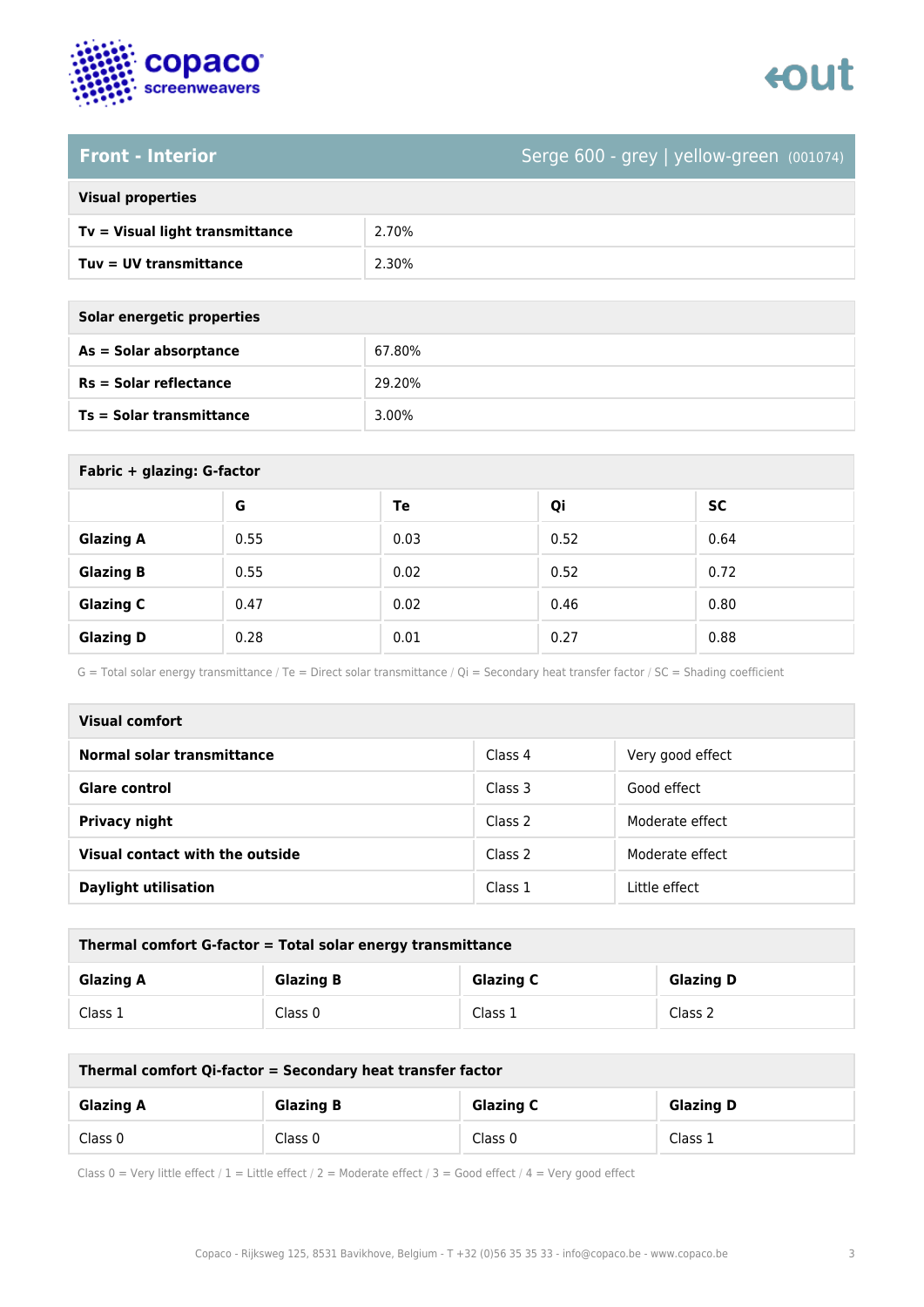

# enut

### **Front - Interior** Serge 600 - grey | yellow-green (001074)

| <b>Visual properties</b> |  |  |
|--------------------------|--|--|
|                          |  |  |

| Tv = Visual light transmittance | 2.70% |
|---------------------------------|-------|
| Tuv = UV transmittance          | 2.30% |

| Solar energetic properties |  |
|----------------------------|--|
| As = Solar absorptance     |  |
|                            |  |

| As = Solar absorptance          | 67.80% |
|---------------------------------|--------|
| $Rs = Solar$ reflectance        | 29.20% |
| <b>Ts = Solar transmittance</b> | 3.00%  |

| Fabric + glazing: G-factor |      |      |      |      |
|----------------------------|------|------|------|------|
|                            | G    | Te   | Qi   | SC   |
| <b>Glazing A</b>           | 0.55 | 0.03 | 0.52 | 0.64 |
| <b>Glazing B</b>           | 0.55 | 0.02 | 0.52 | 0.72 |
| <b>Glazing C</b>           | 0.47 | 0.02 | 0.46 | 0.80 |
| <b>Glazing D</b>           | 0.28 | 0.01 | 0.27 | 0.88 |

G = Total solar energy transmittance / Te = Direct solar transmittance / Qi = Secondary heat transfer factor / SC = Shading coefficient

| Visual comfort                  |         |                  |
|---------------------------------|---------|------------------|
| Normal solar transmittance      | Class 4 | Very good effect |
| <b>Glare control</b>            | Class 3 | Good effect      |
| <b>Privacy night</b>            | Class 2 | Moderate effect  |
| Visual contact with the outside | Class 2 | Moderate effect  |
| <b>Daylight utilisation</b>     | Class 1 | Little effect    |

| Thermal comfort G-factor = Total solar energy transmittance |                  |                  |                  |
|-------------------------------------------------------------|------------------|------------------|------------------|
| <b>Glazing A</b>                                            | <b>Glazing B</b> | <b>Glazing C</b> | <b>Glazing D</b> |
| Class 1                                                     | Class 0          | Class 1          | Class 2          |

| Thermal comfort Qi-factor = Secondary heat transfer factor |                  |                  |                  |
|------------------------------------------------------------|------------------|------------------|------------------|
| <b>Glazing A</b>                                           | <b>Glazing B</b> | <b>Glazing C</b> | <b>Glazing D</b> |
| Class 0                                                    | Class 0          | Class 0          | Class 1          |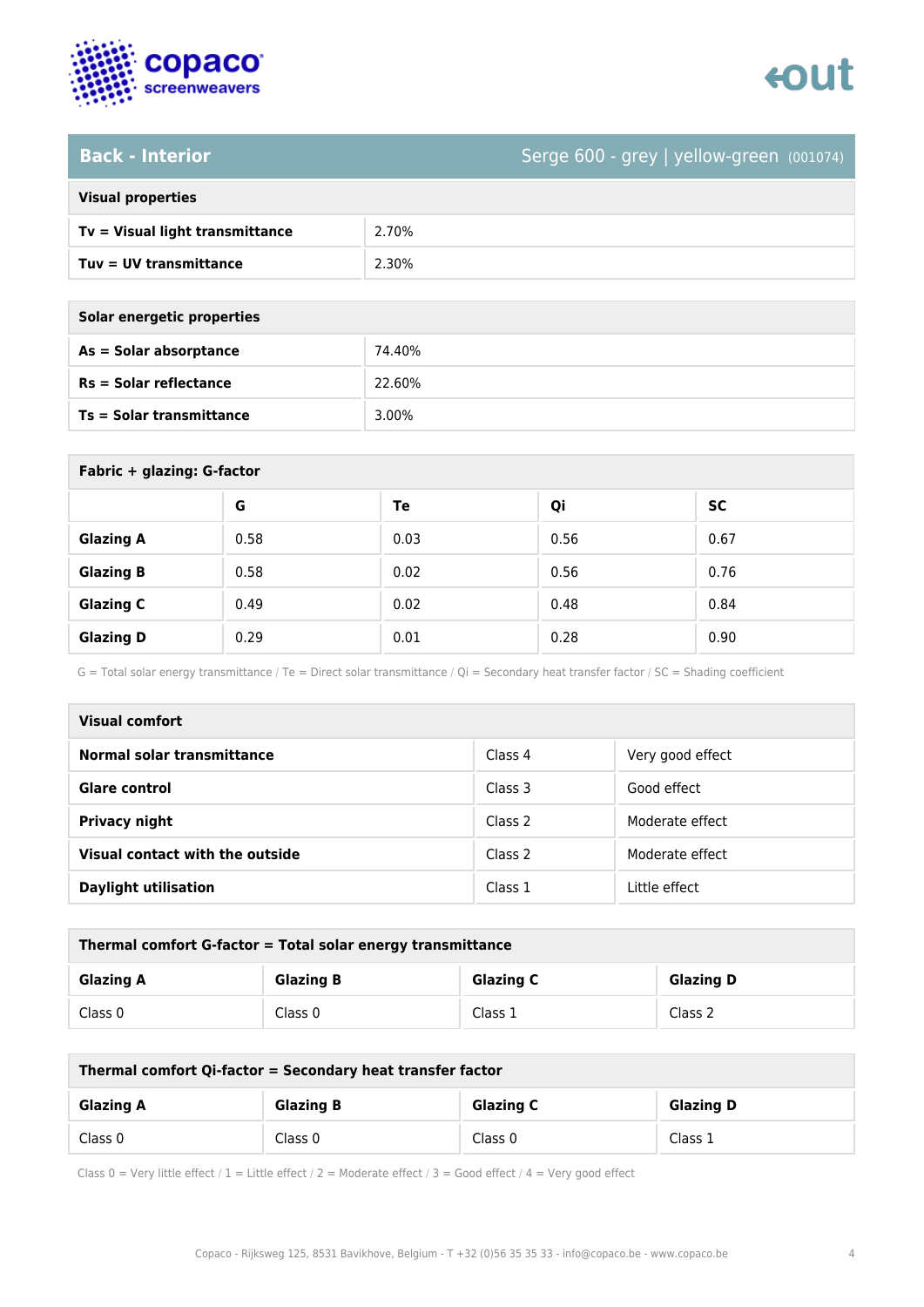

# tout

## Back - Interior **Back - Interior** Serge 600 - grey | yellow-green (001074)

| <b>Visual properties</b> |
|--------------------------|

| $Tv = V$ isual light transmittance | 2.70% |
|------------------------------------|-------|
| Tuv = UV transmittance             | 2.30% |

**Solar energetic properties**

| As = Solar absorptance   | 74.40%   |
|--------------------------|----------|
| $Rs = Solar$ reflectance | 22.60%   |
| Ts = Solar transmittance | $3.00\%$ |

| Fabric + glazing: G-factor |      |      |      |      |  |
|----------------------------|------|------|------|------|--|
|                            | G    | Te   | Qi   | SC   |  |
| <b>Glazing A</b>           | 0.58 | 0.03 | 0.56 | 0.67 |  |
| <b>Glazing B</b>           | 0.58 | 0.02 | 0.56 | 0.76 |  |
| <b>Glazing C</b>           | 0.49 | 0.02 | 0.48 | 0.84 |  |
| <b>Glazing D</b>           | 0.29 | 0.01 | 0.28 | 0.90 |  |

G = Total solar energy transmittance / Te = Direct solar transmittance / Qi = Secondary heat transfer factor / SC = Shading coefficient

| <b>Visual comfort</b>           |         |                  |  |  |
|---------------------------------|---------|------------------|--|--|
| Normal solar transmittance      | Class 4 | Very good effect |  |  |
| <b>Glare control</b>            | Class 3 | Good effect      |  |  |
| Privacy night                   | Class 2 | Moderate effect  |  |  |
| Visual contact with the outside | Class 2 | Moderate effect  |  |  |
| <b>Daylight utilisation</b>     | Class 1 | Little effect    |  |  |

| Thermal comfort G-factor = Total solar energy transmittance                  |         |         |         |  |
|------------------------------------------------------------------------------|---------|---------|---------|--|
| <b>Glazing C</b><br><b>Glazing B</b><br><b>Glazing D</b><br><b>Glazing A</b> |         |         |         |  |
| Class 0                                                                      | Class 0 | Class 1 | Class 2 |  |

| Thermal comfort Qi-factor = Secondary heat transfer factor                   |         |         |         |  |
|------------------------------------------------------------------------------|---------|---------|---------|--|
| <b>Glazing C</b><br><b>Glazing B</b><br><b>Glazing D</b><br><b>Glazing A</b> |         |         |         |  |
| Class 0                                                                      | Class 0 | Class 0 | Class 1 |  |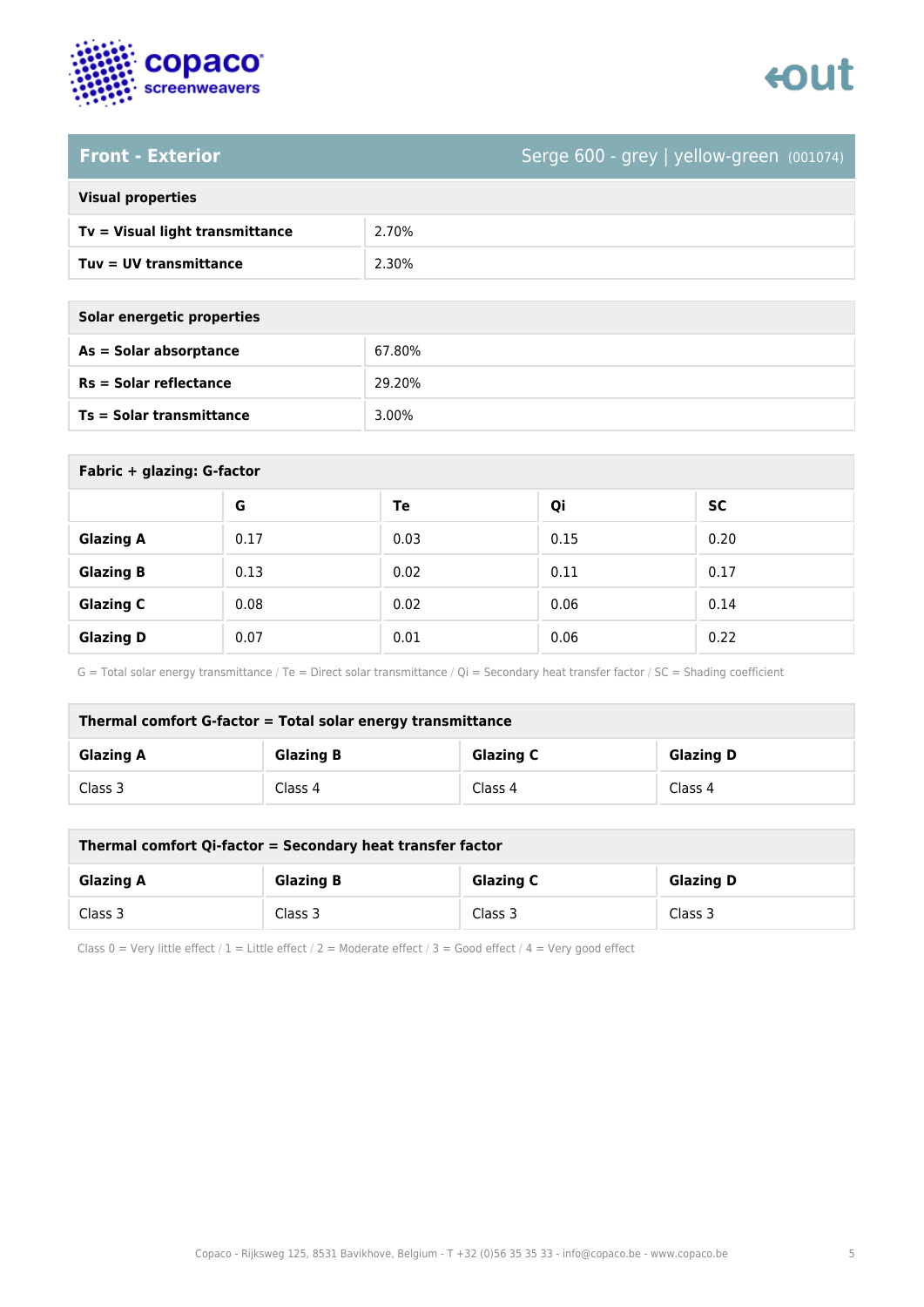

# enut

### **Front - Exterior** Serge 600 - grey | yellow-green (001074)

| <b>Visual properties</b> |  |  |
|--------------------------|--|--|
|                          |  |  |

| Tv = Visual light transmittance | 2.70% |
|---------------------------------|-------|
| $Tuv = UV$ transmittance        | 2.30% |

| Solar energetic properties |        |  |
|----------------------------|--------|--|
| $As = Solar absorption$    | 67.80% |  |
| $Rs = Solar$ reflectance   | 29.20% |  |

| <b>Ts = Solar transmittance</b> |      | 3.00% |      |           |  |
|---------------------------------|------|-------|------|-----------|--|
|                                 |      |       |      |           |  |
| Fabric + glazing: G-factor      |      |       |      |           |  |
|                                 | G    | Te    | Qi   | <b>SC</b> |  |
| <b>Glazing A</b>                | 0.17 | 0.03  | 0.15 | 0.20      |  |
| <b>Glazing B</b>                | 0.13 | 0.02  | 0.11 | 0.17      |  |

G = Total solar energy transmittance / Te = Direct solar transmittance / Qi = Secondary heat transfer factor / SC = Shading coefficient

**Glazing C**  $\begin{array}{|c|c|c|c|c|} \hline \textbf{Gl} & \textbf{0.06} & \textbf{0.14} \ \hline \end{array}$ 

**Glazing D** 0.07 0.01 0.06 0.22

| Thermal comfort G-factor = Total solar energy transmittance                  |         |         |         |  |
|------------------------------------------------------------------------------|---------|---------|---------|--|
| <b>Glazing C</b><br><b>Glazing B</b><br><b>Glazing D</b><br><b>Glazing A</b> |         |         |         |  |
| Class 3                                                                      | Class 4 | Class 4 | Class 4 |  |

| Thermal comfort Qi-factor = Secondary heat transfer factor                   |         |         |         |  |
|------------------------------------------------------------------------------|---------|---------|---------|--|
| <b>Glazing B</b><br><b>Glazing C</b><br><b>Glazing D</b><br><b>Glazing A</b> |         |         |         |  |
| Class 3                                                                      | Class 3 | Class 3 | Class 3 |  |